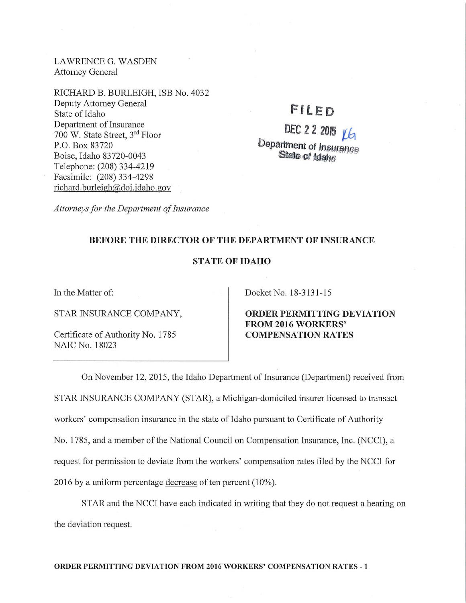LAWRENCE G. WASDEN Attorney General

RICHARD B. BURLEIGH, ISB No. 4032 Deputy Attorney General State of Idaho Department of Insurance 700 W. State Street, 3rd Floor P.O. Box 83720 Boise, Idaho 83720-0043 Telephone: (208) 334-4219 Facsimile: (208) 334-4298 richard.burleigh@doi.idaho.gov

## **Ffl..ED**

# DEC 2 2 2015  $\underline{v}$ **Department of Insurance** State of Idaho

*Attorneys for the Department of Insurance* 

#### **BEFORE THE DIRECTOR OF THE DEPARTMENT OF INSURANCE**

### **STATE OF IDAHO**

In the Matter of:

STAR INSURANCE COMPANY,

Certificate of Authority No. 1785 NAIC No. 18023

Docket No. 18-3131-15

**ORDER PERMITTING DEVIATION FROM 2016 WORKERS' COMPENSATION RATES** 

On November 12, 2015, the Idaho Department of Insurance (Department) received from STAR INSURANCE COMPANY (STAR), a Michigan-domiciled insurer licensed to transact workers' compensation insurance in the state of Idaho pursuant to Certificate of Authority No. 1785, and a member of the National Council on Compensation Insurance, Inc. (NCCI), a request for permission to deviate from the workers' compensation rates filed by the NCCI for 2016 by a uniform percentage decrease of ten percent (10% ).

STAR and the NCCI have each indicated in writing that they do not request a hearing on the deviation request.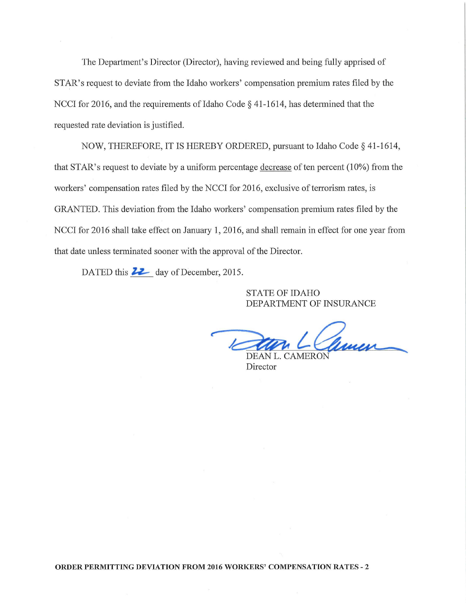The Department's Director (Director), having reviewed and being fully apprised of STAR's request to deviate from the Idaho workers' compensation premium rates filed by the NCCI for 2016, and the requirements of Idaho Code  $\S$  41-1614, has determined that the requested rate deviation is justified.

NOW, THEREFORE, IT IS HEREBY ORDERED, pursuant to Idaho Code§ 41-1614, that STAR's request to deviate by a uniform percentage  $\frac{decrease}{}$  of ten percent (10%) from the workers' compensation rates filed by the NCCI for 2016, exclusive of terrorism rates, is GRANTED. This deviation from the Idaho workers' compensation premium rates filed by the NCCI for 2016 shall take effect on January 1, 2016, and shall remain in effect for one year from that date unless terminated sooner with the approval of the Director.

DATED this **22** day of December, 2015.

STATE OF IDAHO DEPARTMENT OF INSURANCE

Ram L. Cameron

Director

**ORDER PERMITTING DEVIATION FROM 2016 WORKERS' COMPENSATION RATES** - 2